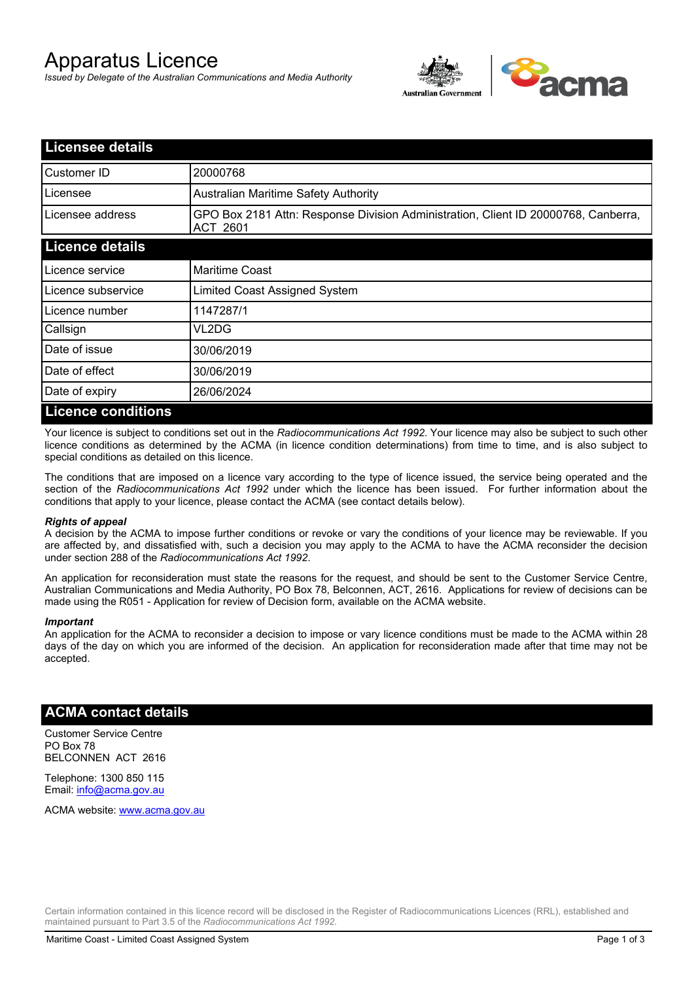# Apparatus Licence

*Issued by Delegate of the Australian Communications and Media Authority*



| <b>Licensee details</b>   |                                                                                                       |
|---------------------------|-------------------------------------------------------------------------------------------------------|
| Customer ID               | 20000768                                                                                              |
| Licensee                  | Australian Maritime Safety Authority                                                                  |
| Licensee address          | GPO Box 2181 Attn: Response Division Administration, Client ID 20000768, Canberra,<br><b>ACT 2601</b> |
| <b>Licence details</b>    |                                                                                                       |
| Licence service           | <b>Maritime Coast</b>                                                                                 |
| Licence subservice        | Limited Coast Assigned System                                                                         |
| Licence number            | 1147287/1                                                                                             |
| Callsign                  | VL2DG                                                                                                 |
| Date of issue             | 30/06/2019                                                                                            |
| Date of effect            | 30/06/2019                                                                                            |
| Date of expiry            | 26/06/2024                                                                                            |
| <b>Licence conditions</b> |                                                                                                       |

Your licence is subject to conditions set out in the *Radiocommunications Act 1992*. Your licence may also be subject to such other licence conditions as determined by the ACMA (in licence condition determinations) from time to time, and is also subject to special conditions as detailed on this licence.

The conditions that are imposed on a licence vary according to the type of licence issued, the service being operated and the section of the *Radiocommunications Act 1992* under which the licence has been issued. For further information about the conditions that apply to your licence, please contact the ACMA (see contact details below).

#### *Rights of appeal*

A decision by the ACMA to impose further conditions or revoke or vary the conditions of your licence may be reviewable. If you are affected by, and dissatisfied with, such a decision you may apply to the ACMA to have the ACMA reconsider the decision under section 288 of the *Radiocommunications Act 1992*.

An application for reconsideration must state the reasons for the request, and should be sent to the Customer Service Centre, Australian Communications and Media Authority, PO Box 78, Belconnen, ACT, 2616. Applications for review of decisions can be made using the R051 - Application for review of Decision form, available on the ACMA website.

#### *Important*

An application for the ACMA to reconsider a decision to impose or vary licence conditions must be made to the ACMA within 28 days of the day on which you are informed of the decision. An application for reconsideration made after that time may not be accepted.

### **ACMA contact details**

Customer Service Centre PO Box 78 BELCONNEN ACT 2616

Telephone: 1300 850 115 Email: info@acma.gov.au

ACMA website: www.acma.gov.au

Certain information contained in this licence record will be disclosed in the Register of Radiocommunications Licences (RRL), established and maintained pursuant to Part 3.5 of the *Radiocommunications Act 1992.*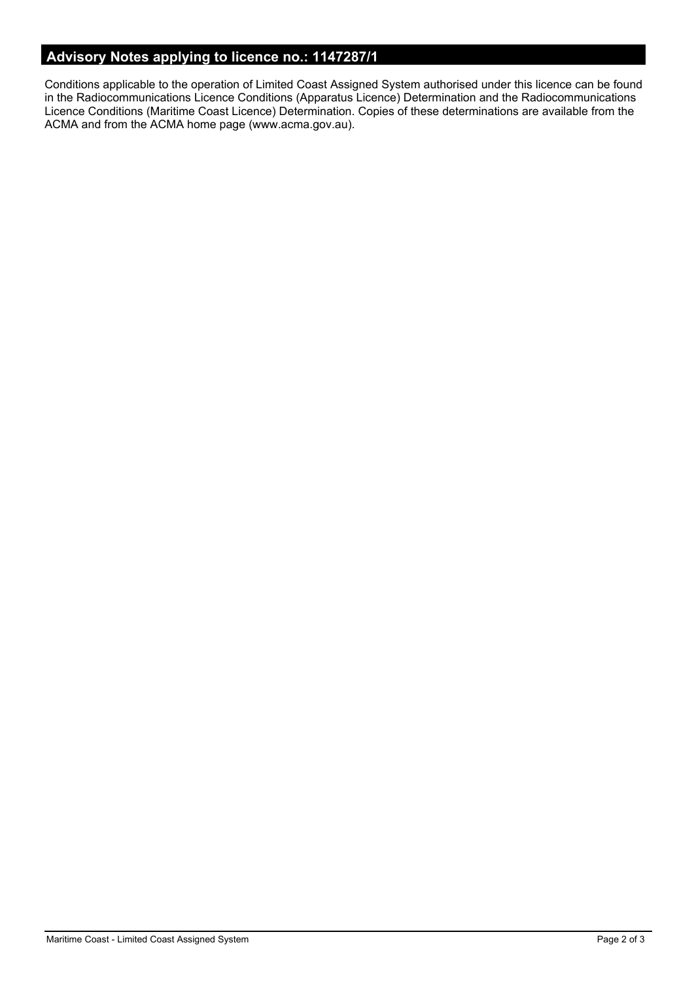## **Advisory Notes applying to licence no.: 1147287/1**

Conditions applicable to the operation of Limited Coast Assigned System authorised under this licence can be found in the Radiocommunications Licence Conditions (Apparatus Licence) Determination and the Radiocommunications Licence Conditions (Maritime Coast Licence) Determination. Copies of these determinations are available from the ACMA and from the ACMA home page (www.acma.gov.au).